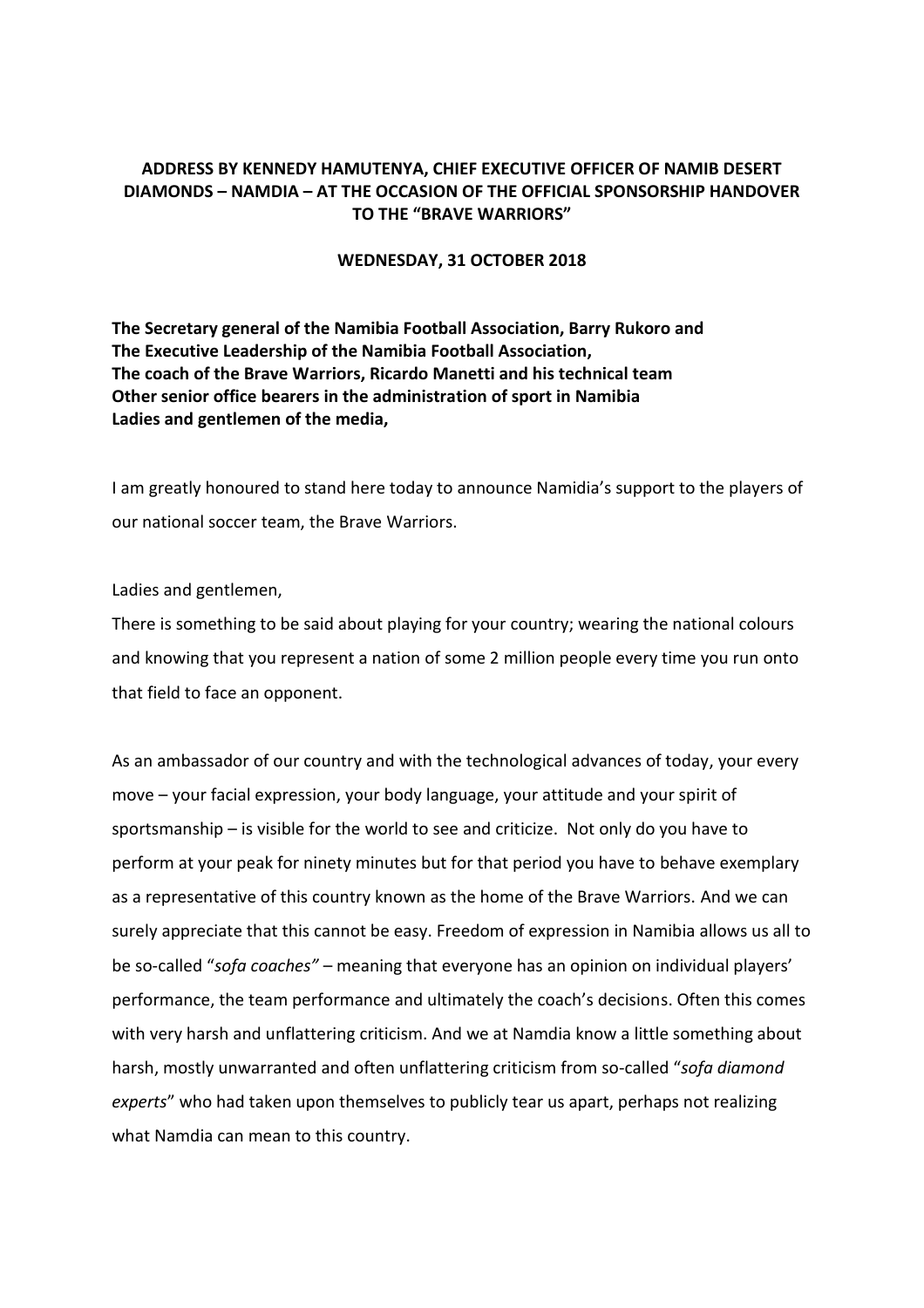## **ADDRESS BY KENNEDY HAMUTENYA, CHIEF EXECUTIVE OFFICER OF NAMIB DESERT DIAMONDS – NAMDIA – AT THE OCCASION OF THE OFFICIAL SPONSORSHIP HANDOVER TO THE "BRAVE WARRIORS"**

## **WEDNESDAY, 31 OCTOBER 2018**

**The Secretary general of the Namibia Football Association, Barry Rukoro and The Executive Leadership of the Namibia Football Association, The coach of the Brave Warriors, Ricardo Manetti and his technical team Other senior office bearers in the administration of sport in Namibia Ladies and gentlemen of the media,**

I am greatly honoured to stand here today to announce Namidia's support to the players of our national soccer team, the Brave Warriors.

Ladies and gentlemen,

There is something to be said about playing for your country; wearing the national colours and knowing that you represent a nation of some 2 million people every time you run onto that field to face an opponent.

As an ambassador of our country and with the technological advances of today, your every move – your facial expression, your body language, your attitude and your spirit of sportsmanship – is visible for the world to see and criticize. Not only do you have to perform at your peak for ninety minutes but for that period you have to behave exemplary as a representative of this country known as the home of the Brave Warriors. And we can surely appreciate that this cannot be easy. Freedom of expression in Namibia allows us all to be so-called "*sofa coaches"* – meaning that everyone has an opinion on individual players' performance, the team performance and ultimately the coach's decisions. Often this comes with very harsh and unflattering criticism. And we at Namdia know a little something about harsh, mostly unwarranted and often unflattering criticism from so-called "*sofa diamond experts*" who had taken upon themselves to publicly tear us apart, perhaps not realizing what Namdia can mean to this country.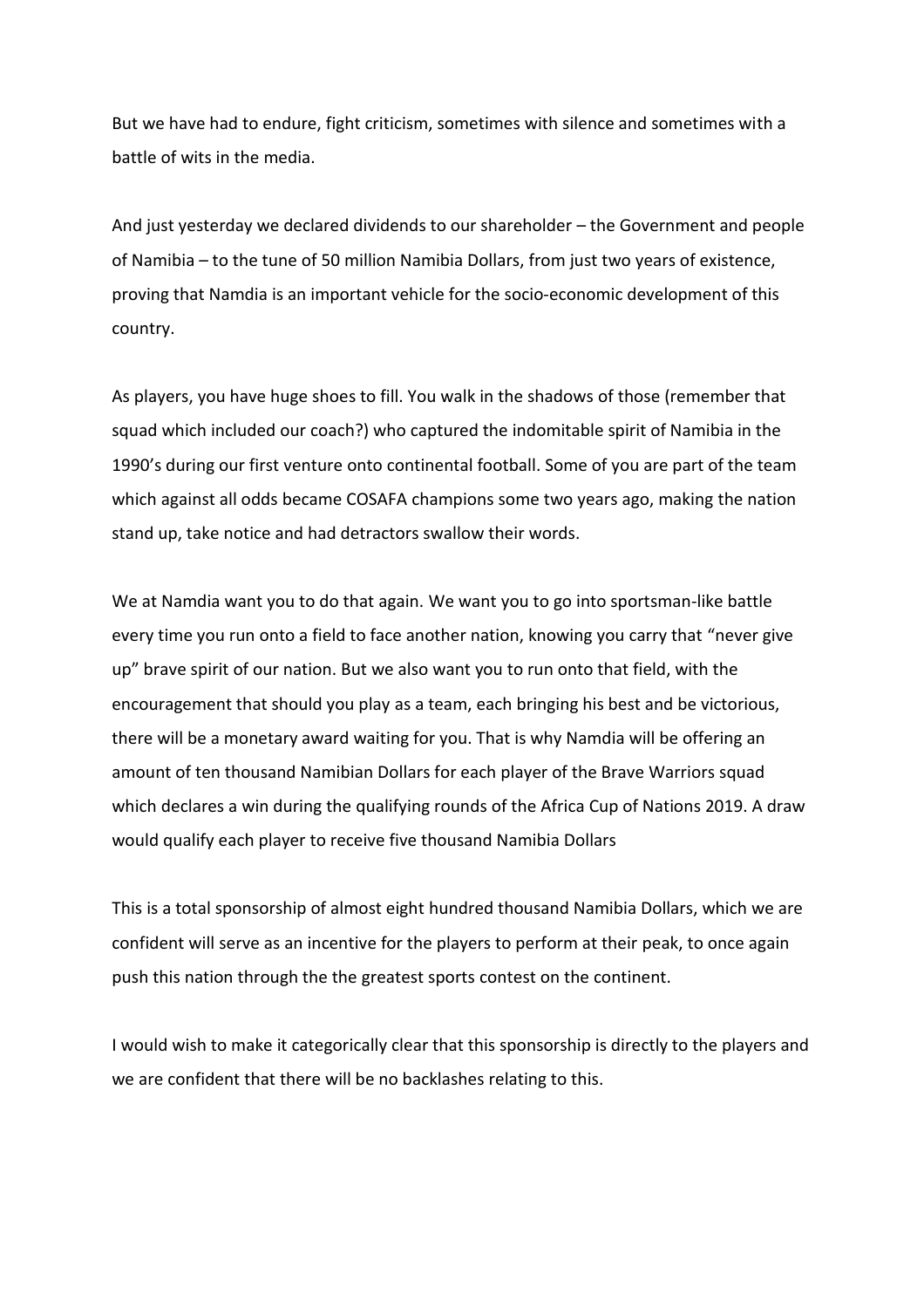But we have had to endure, fight criticism, sometimes with silence and sometimes with a battle of wits in the media.

And just yesterday we declared dividends to our shareholder – the Government and people of Namibia – to the tune of 50 million Namibia Dollars, from just two years of existence, proving that Namdia is an important vehicle for the socio-economic development of this country.

As players, you have huge shoes to fill. You walk in the shadows of those (remember that squad which included our coach?) who captured the indomitable spirit of Namibia in the 1990's during our first venture onto continental football. Some of you are part of the team which against all odds became COSAFA champions some two years ago, making the nation stand up, take notice and had detractors swallow their words.

We at Namdia want you to do that again. We want you to go into sportsman-like battle every time you run onto a field to face another nation, knowing you carry that "never give up" brave spirit of our nation. But we also want you to run onto that field, with the encouragement that should you play as a team, each bringing his best and be victorious, there will be a monetary award waiting for you. That is why Namdia will be offering an amount of ten thousand Namibian Dollars for each player of the Brave Warriors squad which declares a win during the qualifying rounds of the Africa Cup of Nations 2019. A draw would qualify each player to receive five thousand Namibia Dollars

This is a total sponsorship of almost eight hundred thousand Namibia Dollars, which we are confident will serve as an incentive for the players to perform at their peak, to once again push this nation through the the greatest sports contest on the continent.

I would wish to make it categorically clear that this sponsorship is directly to the players and we are confident that there will be no backlashes relating to this.